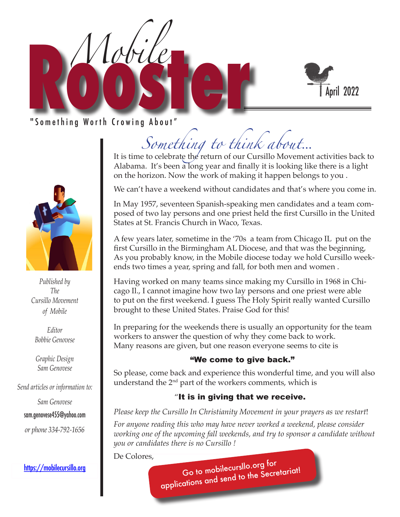



" Something Worth Crowing About"



*Published by The Cursillo Movement of Mobile*

*Editor Bobbie Genovese*

*Graphic Design Sam Genovese*

*Send articles or information to:* 

*Sam Genovese*

sam.genovese455@yahoo.com

*or phone 334-792-1656*

https://mobilecursillo.org

*Something to think about*...

It is time to celebrate the return of our Cursillo Movement activities back to Alabama. It's been a long year and finally it is looking like there is a light on the horizon. Now the work of making it happen belongs to you .

We can't have a weekend without candidates and that's where you come in.

In May 1957, seventeen Spanish-speaking men candidates and a team composed of two lay persons and one priest held the first Cursillo in the United States at St. Francis Church in Waco, Texas.

A few years later, sometime in the '70s a team from Chicago IL put on the first Cursillo in the Birmingham AL Diocese, and that was the beginning, As you probably know, in the Mobile diocese today we hold Cursillo weekends two times a year, spring and fall, for both men and women .

Having worked on many teams since making my Cursillo in 1968 in Chicago Il., I cannot imagine how two lay persons and one priest were able to put on the first weekend. I guess The Holy Spirit really wanted Cursillo brought to these United States. Praise God for this!

In preparing for the weekends there is usually an opportunity for the team workers to answer the question of why they come back to work. Many reasons are given, but one reason everyone seems to cite is

#### "We come to give back."

So please, come back and experience this wonderful time, and you will also understand the  $2<sup>nd</sup>$  part of the workers comments, which is

#### "It is in giving that we receive.

*Please keep the Cursillo In Christianity Movement in your prayers as we restart*!

*For anyone reading this who may have never worked a weekend, please consider working one of the upcoming fall weekends, and try to sponsor a candidate without you or candidates there is no Cursillo !* 

De Colores,

Go to mobilecursllo.org for applications and send to the Secretariat!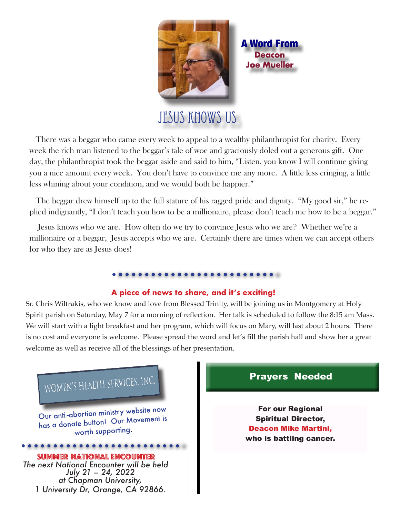

A Word From **Deacon Joe Mueller**

# JESUS KNOWS US

 There was a beggar who came every week to appeal to a wealthy philanthropist for charity. Every week the rich man listened to the beggar's tale of woe and graciously doled out a generous gift. One day, the philanthropist took the beggar aside and said to him, "Listen, you know I will continue giving you a nice amount every week. You don't have to convince me any more. A little less cringing, a little less whining about your condition, and we would both be happier."

 The beggar drew himself up to the full stature of his ragged pride and dignity. "My good sir," he replied indignantly, "I don't teach you how to be a millionaire, please don't teach me how to be a beggar."

 Jesus knows who we are. How often do we try to convince Jesus who we are? Whether we're a millionaire or a beggar, Jesus accepts who we are. Certainly there are times when we can accept others for who they are as Jesus does!

#### 

#### **A piece of news to share, and it's exciting!**

Sr. Chris Wiltrakis, who we know and love from Blessed Trinity, will be joining us in Montgomery at Holy Spirit parish on Saturday, May 7 for a morning of reflection. Her talk is scheduled to follow the 8:15 am Mass. We will start with a light breakfast and her program, which will focus on Mary, will last about 2 hours. There is no cost and everyone is welcome. Please spread the word and let's fill the parish hall and show her a great welcome as well as receive all of the blessings of her presentation.



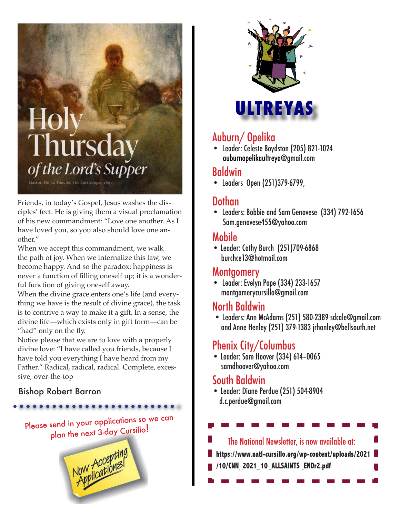# Holy<br>Thursday of the Lord's Supper Gaston De La Touche, The Last Supper, 18

Friends, in today's Gospel, Jesus washes the disciples' feet. He is giving them a visual proclamation of his new commandment: "Love one another. As I have loved you, so you also should love one another."

When we accept this commandment, we walk the path of joy. When we internalize this law, we become happy. And so the paradox: happiness is never a function of filling oneself up; it is a wonderful function of giving oneself away.

When the divine grace enters one's life (and everything we have is the result of divine grace), the task is to contrive a way to make it a gift. In a sense, the divine life—which exists only in gift form—can be "had" only on the fly.

Notice please that we are to love with a properly divine love: "I have called you friends, because I have told you everything I have heard from my Father." Radical, radical, radical. Complete, excessive, over-the-top

#### Bishop Robert Barron

# Please send in your applications so we can

plan the next 3-day Cursillo!





# Auburn/ Opelika

• Leader: Celeste Boydston (205) 821-1024 auburnopelikaultreya@gmail.com

#### Baldwin

• Leaders Open (251)379-6799,

#### J Dothan

• Leaders: Bobbie and Sam Genovese (334) 792-1656 Sam.genovese455@yahoo.com

### Mobile

• Leader: Cathy Burch (251)709-6868 burchce13@hotmail.com

#### Montgomery

• Leader: Evelyn Pope (334) 233-1657 montgomerycursillo@gmail.com

## North Baldwin

 • Leaders: Ann McAdams (251) 580-2389 sdcale@gmail.com and Anne Henley (251) 379-1383 jrhanley@bellsouth.net

# Phenix City/Columbus

• Leader: Sam Hoover (334) 614–0065 samdhoover@yahoo.com

## South Baldwin

• Leader: Diane Perdue (251) 504-8904 d.c.perdue@gmail.com